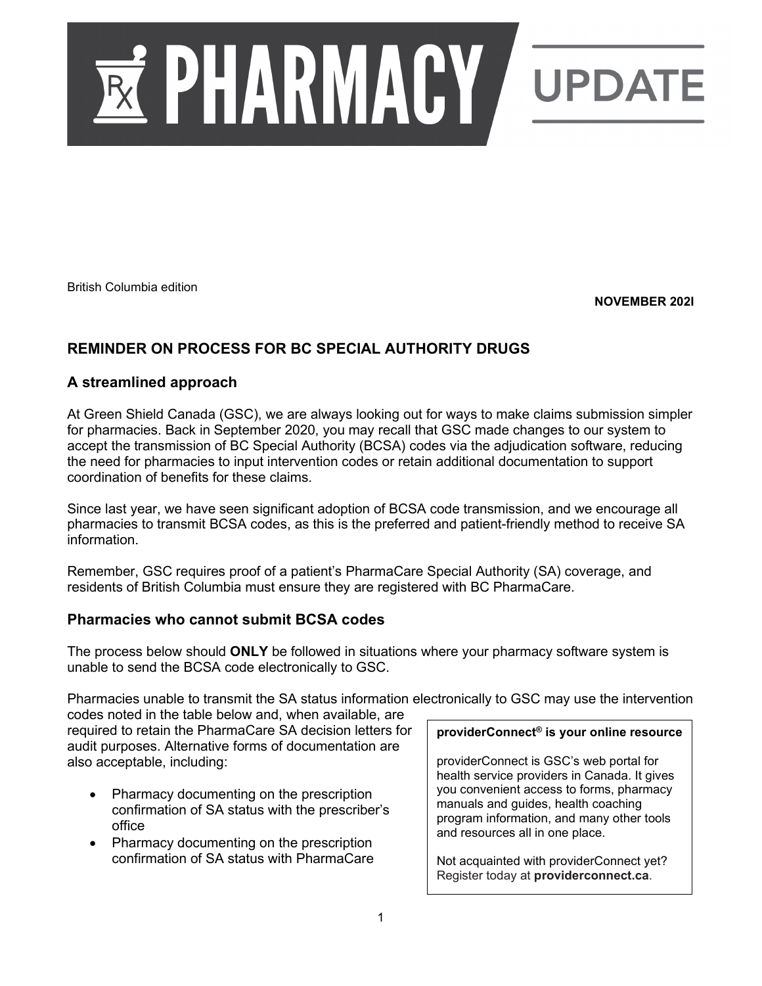

British Columbia edition

**NOVEMBER 202I**

# **REMINDER ON PROCESS FOR BC SPECIAL AUTHORITY DRUGS**

### **A streamlined approach**

At Green Shield Canada (GSC), we are always looking out for ways to make claims submission simpler for pharmacies. Back in September 2020, you may recall that GSC made changes to our system to accept the transmission of BC Special Authority (BCSA) codes via the adjudication software, reducing the need for pharmacies to input intervention codes or retain additional documentation to support coordination of benefits for these claims.

Since last year, we have seen significant adoption of BCSA code transmission, and we encourage all pharmacies to transmit BCSA codes, as this is the preferred and patient-friendly method to receive SA information.

Remember, GSC requires proof of a patient's PharmaCare Special Authority (SA) coverage, and residents of British Columbia must ensure they are registered with BC PharmaCare.

### **Pharmacies who cannot submit BCSA codes**

The process below should **ONLY** be followed in situations where your pharmacy software system is unable to send the BCSA code electronically to GSC.

Pharmacies unable to transmit the SA status information electronically to GSC may use the intervention codes noted in the table below and, when available, are

required to retain the PharmaCare SA decision letters for audit purposes. Alternative forms of documentation are also acceptable, including:

- Pharmacy documenting on the prescription confirmation of SA status with the prescriber's office
- Pharmacy documenting on the prescription confirmation of SA status with PharmaCare

#### **providerConnect® is your online resource**

providerConnect is GSC's web portal for health service providers in Canada. It gives you convenient access to forms, pharmacy manuals and guides, health coaching program information, and many other tools and resources all in one place.

Not acquainted with providerConnect yet? Register today at **providerconnect.ca**.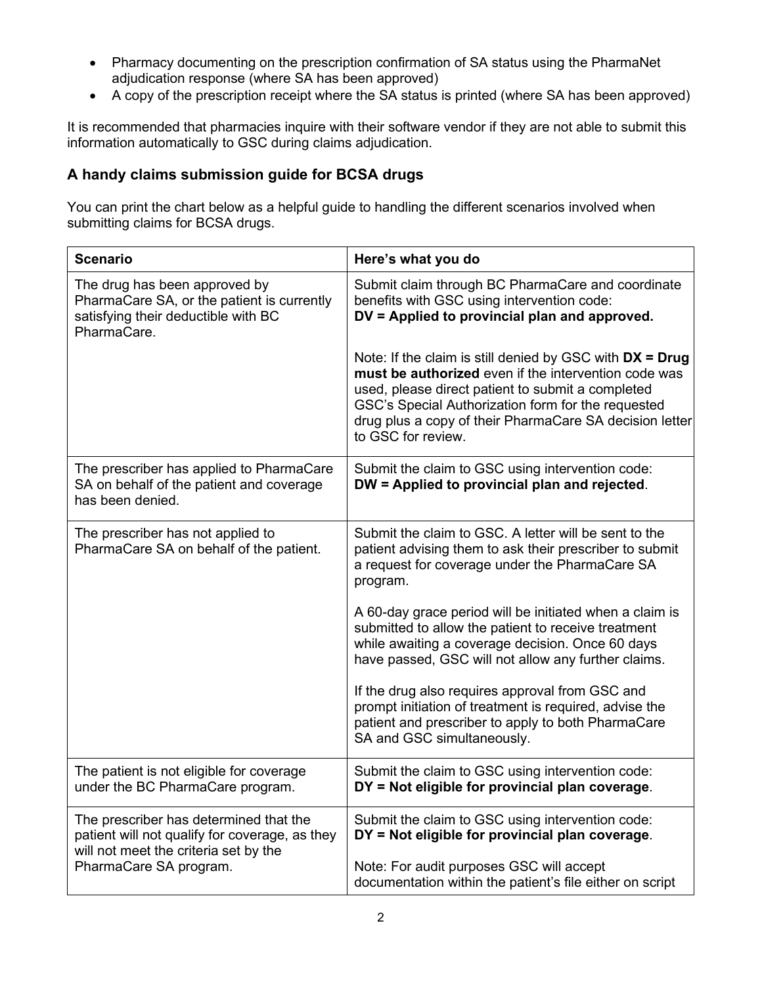- Pharmacy documenting on the prescription confirmation of SA status using the PharmaNet adjudication response (where SA has been approved)
- A copy of the prescription receipt where the SA status is printed (where SA has been approved)

It is recommended that pharmacies inquire with their software vendor if they are not able to submit this information automatically to GSC during claims adjudication.

## **A handy claims submission guide for BCSA drugs**

You can print the chart below as a helpful guide to handling the different scenarios involved when submitting claims for BCSA drugs.

| <b>Scenario</b>                                                                                                                   | Here's what you do                                                                                                                                                                                                                                                                                             |
|-----------------------------------------------------------------------------------------------------------------------------------|----------------------------------------------------------------------------------------------------------------------------------------------------------------------------------------------------------------------------------------------------------------------------------------------------------------|
| The drug has been approved by<br>PharmaCare SA, or the patient is currently<br>satisfying their deductible with BC<br>PharmaCare. | Submit claim through BC PharmaCare and coordinate<br>benefits with GSC using intervention code:<br>DV = Applied to provincial plan and approved.                                                                                                                                                               |
|                                                                                                                                   | Note: If the claim is still denied by GSC with $DX = Drug$<br>must be authorized even if the intervention code was<br>used, please direct patient to submit a completed<br>GSC's Special Authorization form for the requested<br>drug plus a copy of their PharmaCare SA decision letter<br>to GSC for review. |
| The prescriber has applied to PharmaCare<br>SA on behalf of the patient and coverage<br>has been denied.                          | Submit the claim to GSC using intervention code:<br>DW = Applied to provincial plan and rejected.                                                                                                                                                                                                              |
| The prescriber has not applied to<br>PharmaCare SA on behalf of the patient.                                                      | Submit the claim to GSC. A letter will be sent to the<br>patient advising them to ask their prescriber to submit<br>a request for coverage under the PharmaCare SA<br>program.                                                                                                                                 |
|                                                                                                                                   | A 60-day grace period will be initiated when a claim is<br>submitted to allow the patient to receive treatment<br>while awaiting a coverage decision. Once 60 days<br>have passed, GSC will not allow any further claims.                                                                                      |
|                                                                                                                                   | If the drug also requires approval from GSC and<br>prompt initiation of treatment is required, advise the<br>patient and prescriber to apply to both PharmaCare<br>SA and GSC simultaneously.                                                                                                                  |
| The patient is not eligible for coverage<br>under the BC PharmaCare program.                                                      | Submit the claim to GSC using intervention code:<br>DY = Not eligible for provincial plan coverage.                                                                                                                                                                                                            |
| The prescriber has determined that the<br>patient will not qualify for coverage, as they<br>will not meet the criteria set by the | Submit the claim to GSC using intervention code:<br>DY = Not eligible for provincial plan coverage.                                                                                                                                                                                                            |
| PharmaCare SA program.                                                                                                            | Note: For audit purposes GSC will accept<br>documentation within the patient's file either on script                                                                                                                                                                                                           |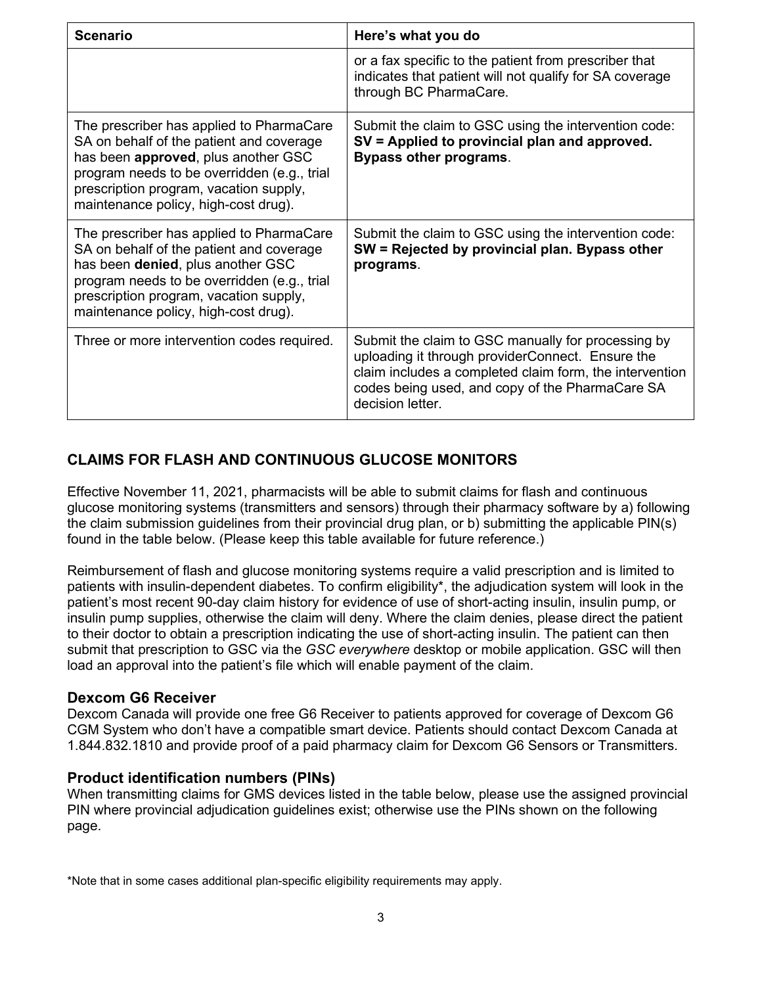| <b>Scenario</b>                                                                                                                                                                                                                                              | Here's what you do                                                                                                                                                                                                                       |
|--------------------------------------------------------------------------------------------------------------------------------------------------------------------------------------------------------------------------------------------------------------|------------------------------------------------------------------------------------------------------------------------------------------------------------------------------------------------------------------------------------------|
|                                                                                                                                                                                                                                                              | or a fax specific to the patient from prescriber that<br>indicates that patient will not qualify for SA coverage<br>through BC PharmaCare.                                                                                               |
| The prescriber has applied to PharmaCare<br>SA on behalf of the patient and coverage<br>has been approved, plus another GSC<br>program needs to be overridden (e.g., trial<br>prescription program, vacation supply,<br>maintenance policy, high-cost drug). | Submit the claim to GSC using the intervention code:<br>SV = Applied to provincial plan and approved.<br><b>Bypass other programs.</b>                                                                                                   |
| The prescriber has applied to PharmaCare<br>SA on behalf of the patient and coverage<br>has been denied, plus another GSC<br>program needs to be overridden (e.g., trial<br>prescription program, vacation supply,<br>maintenance policy, high-cost drug).   | Submit the claim to GSC using the intervention code:<br>SW = Rejected by provincial plan. Bypass other<br>programs.                                                                                                                      |
| Three or more intervention codes required.                                                                                                                                                                                                                   | Submit the claim to GSC manually for processing by<br>uploading it through providerConnect. Ensure the<br>claim includes a completed claim form, the intervention<br>codes being used, and copy of the PharmaCare SA<br>decision letter. |

# **CLAIMS FOR FLASH AND CONTINUOUS GLUCOSE MONITORS**

Effective November 11, 2021, pharmacists will be able to submit claims for flash and continuous glucose monitoring systems (transmitters and sensors) through their pharmacy software by a) following the claim submission guidelines from their provincial drug plan, or b) submitting the applicable PIN(s) found in the table below. (Please keep this table available for future reference.)

Reimbursement of flash and glucose monitoring systems require a valid prescription and is limited to patients with insulin-dependent diabetes. To confirm eligibility\*, the adjudication system will look in the patient's most recent 90-day claim history for evidence of use of short-acting insulin, insulin pump, or insulin pump supplies, otherwise the claim will deny. Where the claim denies, please direct the patient to their doctor to obtain a prescription indicating the use of short-acting insulin. The patient can then submit that prescription to GSC via the *GSC everywhere* desktop or mobile application. GSC will then load an approval into the patient's file which will enable payment of the claim.

#### **Dexcom G6 Receiver**

Dexcom Canada will provide one free G6 Receiver to patients approved for coverage of Dexcom G6 CGM System who don't have a compatible smart device. Patients should contact Dexcom Canada at 1.844.832.1810 and provide proof of a paid pharmacy claim for Dexcom G6 Sensors or Transmitters.

#### **Product identification numbers (PINs)**

When transmitting claims for GMS devices listed in the table below, please use the assigned provincial PIN where provincial adjudication guidelines exist; otherwise use the PINs shown on the following page.

\*Note that in some cases additional plan-specific eligibility requirements may apply.